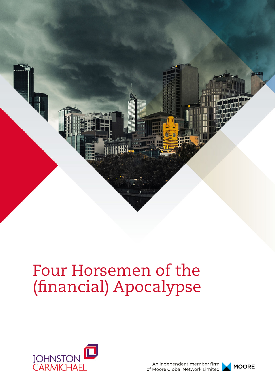

# Four Horsemen of the (financial) Apocalypse



An independent member firm of Moore Global Network Limited

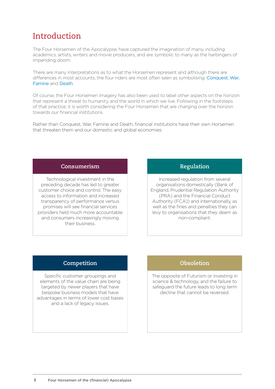## Introduction

The Four Horsemen of the Apocalypse, have captured the imagination of many, including academics, artists, writers and movie producers, and are symbolic to many as the harbingers of impending doom.

There are many interpretations as to what the Horsemen represent and although there are differences in most accounts, the four riders are most often seen as symbolising: Conquest, War, Famine and Death.

Of course, the Four Horsemen imagery has also been used to label other aspects on the horizon that represent a threat to humanity and the world in which we live. Following in the footsteps of that practice, it is worth considering the Four Horsemen that are charging over the horizon towards our financial institutions.

Rather than Conquest, War, Famine and Death, financial institutions have their own Horsemen that threaten them and our domestic and global economies:

#### **Consumerism**

Technological investment in the preceding decade has led to greater customer choice and control. The easy access to information and increased transparency of performance versus promises will see financial services providers held much more accountable and consumers increasingly moving their business.

#### **Regulation**

Increased regulation from several organisations domestically (Bank of England, Prudential Regulation Authority (PRA) and the Financial Conduct Authority (FCA)) and internationally, as well as the fines and penalties they can levy to organisations that they deem as non-compliant.

#### **Competition**

Specific customer groupings and elements of the value chain are being targeted by newer players that have bespoke business models that have advantages in terms of lower cost bases and a lack of legacy issues.

#### **Obsoletion**

The opposite of Futurism or investing in science & technology, and the failure to safeguard the future leads to long term decline that cannot be reversed.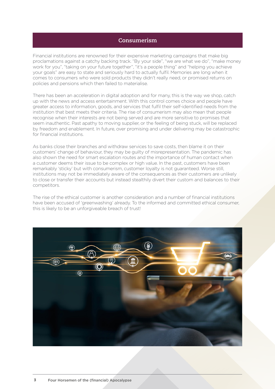#### **Consumerism**

Financial institutions are renowned for their expensive marketing campaigns that make big proclamations against a catchy backing track. "By your side", "we are what we do", "make money work for you", "taking on your future together", "it's a people thing" and "helping you achieve your goals" are easy to state and seriously hard to actually fulfil. Memories are long when it comes to consumers who were sold products they didn't really need, or promised returns on policies and pensions which then failed to materialise.

There has been an acceleration in digital adoption and for many, this is the way we shop, catch up with the news and access entertainment. With this control comes choice and people have greater access to information, goods, and services that fulfil their self-identified needs from the institution that best meets their criteria. The rise of consumerism may also mean that people recognise when their interests are not being served and are more sensitive to promises that seem inauthentic. Past apathy to moving supplier, or the feeling of being stuck, will be replaced by freedom and enablement. In future, over promising and under delivering may be catastrophic for financial institutions.

As banks close their branches and withdraw services to save costs, then blame it on their customers' change of behaviour, they may be guilty of misrepresentation. The pandemic has also shown the need for smart escalation routes and the importance of human contact when a customer deems their issue to be complex or high value. In the past, customers have been remarkably 'sticky' but with consumerism, customer loyalty is not guaranteed. Worse still, institutions may not be immediately aware of the consequences as their customers are unlikely to close or transfer their accounts but instead stealthily divert their custom and balances to their competitors.

The rise of the ethical customer is another consideration and a number of financial institutions have been accused of 'greenwashing' already. To the informed and committed ethical consumer, this is likely to be an unforgiveable breach of trust!

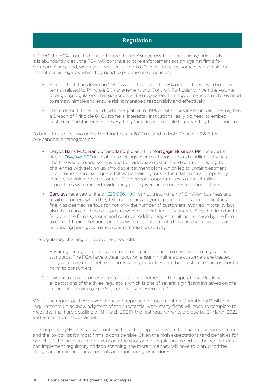### **Regulation**

In 2020, the FCA collected fines of more than £183m across 11 different firms/individuals. It is abundantly clear, the FCA will continue to take enforcement action against firms for non-compliance and, when you look across the 2020 fines, there are some clear signals for institutions as regards what they need to prioritise and focus on:

- Five of the 11 fines levied in 2020 (which translates to 98% of total fines levied in value terms) related to Principle 3 (Management and Control). Particularly, given the volume of ongoing regulatory change across all the regulators, firm's governance structures need to remain nimble and ensure risk is managed responsibly and effectively.
- Three of the 11 fines levied (which equated to 49% of total fines levied in value terms) had a Breach of Principle 6 (Customers' Interests). Institutions really do need to embed customers' best interests in everything they do and be able to prove they have done so.

To bring this to life, two of the top four fines in 2020 related to both Principle 3 & 6 for pre-pandemic transgressions:

- Lloyds Bank PLC, Bank of Scotland plc and the Mortgage Business Plc received a fine of £64,046,800 in relation to failings over mortgage arrears handling activities. The fine was deemed serious due to inadequate systems and controls, leading to challenges with setting up affordable payment plans which led to unfair treatment of customers and inadequate follow up training for staff in relation to appropriately identifying vulnerable customers. Furthermore, opportunities to correct failing procedures were missed, evidencing poor governance over remediation activity.
- Barclays received a fine of £26,056,400 for not treating fairly 1.5 million business and retail customers when they fell into arrears and/or experienced financial difficulties. This fine was deemed serious for not only the number of customers involved in totality but also that many of these customers were not identified as 'vulnerable' by the firm due to failure in the firm's systems and controls. Additionally, commitments made by the firm to correct their collections process were not implemented in a timely manner, again evidencing poor governance over remediation activity.

The regulatory challenges however are twofold:

- 1. Ensuring the right controls and monitoring are in place to meet existing regulatory standards. The FCA have a clear focus on ensuring vulnerable customers are treated fairly and have no appetite for firms failing to understand their customers' needs, nor for harm to consumers.
- 2. This focus on customer detriment is a large element of the Operational Resilience expectations of the three regulators which is one of several significant initiatives on the immediate horizon (e.g. AML, crypto assets, Brexit, etc.).

Whilst the regulators have taken a phased approach in implementing Operational Resilience requirements (in acknowledgment of the substantial work many firms will need to complete to meet the final hard deadline of 31 March 2025), the first requirements are due by 31 March 2022 and are far from insubstantial.

The 'Regulatory' Horseman will continue to cast a long shadow on the financial services sector and the 'to-do' list for most firms is considerable. Given the high expectations (and penalties for breaches), the large volume of work and the shortage of regulatory expertise, the earlier firms can implement regulatory horizon scanning, the more time they will have to plan, prioritise, design and implement new controls and monitoring procedures.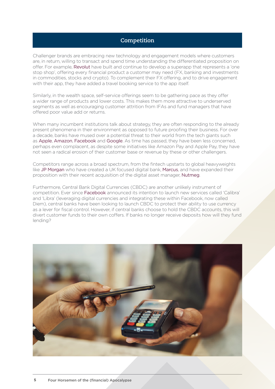#### **Competition**

Challenger brands are embracing new technology and engagement models where customers are, in return, willing to transact and spend time understanding the differentiated proposition on offer. For example, Revolut have built and continue to develop a superapp that represents a 'one stop shop', offering every financial product a customer may need (FX, banking and investments in commodities, stocks and crypto). To complement their FX offering, and to drive engagement with their app, they have added a travel booking service to the app itself.

Similarly, in the wealth space, self-service offerings seem to be gathering pace as they offer a wider range of products and lower costs. This makes them more attractive to underserved segments as well as encouraging customer attrition from IFAs and fund managers that have offered poor value add or returns.

When many incumbent institutions talk about strategy, they are often responding to the already present phenomena in their environment as opposed to future proofing their business. For over a decade, banks have mused over a potential threat to their world from the tech giants such as Apple, Amazon, Facebook and Google. As time has passed, they have been less concerned, perhaps even complacent, as despite some initiatives like Amazon Pay and Apple Pay, they have not seen a radical erosion of their customer base or revenue by these or other challengers.

Competitors range across a broad spectrum, from the fintech upstarts to global heavyweights like JP Morgan who have created a UK focused digital bank. Marcus, and have expanded their proposition with their recent acquisition of the digital asset manager, Nutmeg.

Furthermore, Central Bank Digital Currencies (CBDC) are another unlikely instrument of competition. Ever since Facebook announced its intention to launch new services called 'Calibra' and 'Libra' (leveraging digital currencies and integrating these within Facebook, now called Diem), central banks have been looking to launch CBDC to protect their ability to use currency as a lever for fiscal control. However, if central banks choose to hold the CBDC accounts, this will divert customer funds to their own coffers. If banks no longer receive deposits how will they fund lending?

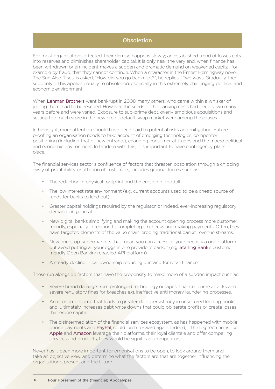#### **Obsoletion**

For most organisations affected, their demise happens slowly; an established trend of losses eats into reserves and diminishes shareholder capital. It is only near the very end, when finance has been withdrawn or an incident makes a sudden and dramatic demand on weakened capital, for example by fraud, that they cannot continue. When a character in the Ernest Hemingway novel, The Sun Also Rises, is asked, "How did you go bankrupt?", he replies, "Two ways. Gradually, then suddenly!". This applies equally to obsoletion, especially in this extremely challenging political and economic environment.

When Lehman Brothers went bankrupt in 2008, many others, who came within a whisker of joining them, had to be rescued. However, the seeds of the banking crisis had been sown many years before and were varied. Exposure to sub-prime debt, overly ambitious acquisitions and setting too much store in the new credit default swap market were among the causes.

In hindsight, more attention should have been paid to potential risks and mitigation. Future proofing an organisation needs to take account of emerging technologies, competitor positioning (including that of new entrants), changing consumer attitudes and the macro political and economic environment. In tandem with this, it is important to have contingency plans in place.

The financial services sector's confluence of factors that threaten obsoletion through a chipping away of profitability or attrition of customers, includes gradual forces such as:

- The reduction in physical footprint and the erosion of footfall.
- The low interest rate environment (e.g. current accounts used to be a cheap source of funds for banks to lend out).
- Greater capital holdings required by the regulator, or indeed, ever-increasing regulatory demands in general.
- New digital banks simplifying and making the account opening process more customer friendly, especially in relation to completing ID checks and making payments. Often, they have targeted elements of the value chain, eroding traditional banks' revenue streams.
- New one-stop-supermarkets that mean you can access all your needs via one platform but avoid putting all your eggs in one provider's basket (e.g. Starling Bank's customer friendly Open Banking enabled API platform).
- A steady decline in car ownership reducing demand for retail finance.

These run alongside factors that have the propensity to make more of a sudden impact such as:

- Severe brand damage from prolonged technology outages, financial crime attacks and severe regulatory fines for breaches e.g. ineffective anti money laundering processes.
- An economic slump that leads to greater debt persistency in unsecured lending books and, ultimately, increases debt write downs that could obliterate profits or create losses that erode capital.
- The disintermediation of the financial services ecosystem, as has happened with mobile phone payments and PayPal, could lurch forward again. Indeed, if the big tech firms like Apple and Amazon leverage their platforms, their loyal clientele and offer compelling services and products, they would be significant competitors.

Never has it been more important for organisations to be open, to look around them and take an objective view, and determine what the factors are that are together influencing the organisation's present and the future.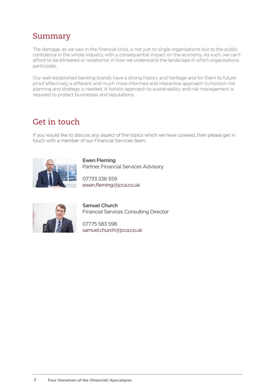## Summary

The damage, as we saw in the financial crisis, is not just to single organisations but to the public confidence in the whole industry, with a consequential impact on the economy. As such, we can't afford to be blinkered or isolationist in how we understand the landscape in which organisations participate.

Our well-established banking brands have a strong history and heritage and for them to future proof effectively, a different and much more informed and interactive approach to horizon risk planning and strategy is needed. A holistic approach to sustainability and risk management is required to protect businesses and reputations.

## Get in touch

If you would like to discuss any aspect of the topics which we have covered, then please get in touch with a member of our Financial Services team.



Ewen Fleming Partner, Financial Services Advisory

07733 236 559 [ewen.fleming@jcca.co.uk](mailto:ewen.fleming%40jcca.co.uk%20?subject=) 



Samuel Church Financial Services Consulting Director

07775 583 598 [samuel.church@jcca.co.uk](mailto:samuel.church%40jcca.co.uk%20?subject=)